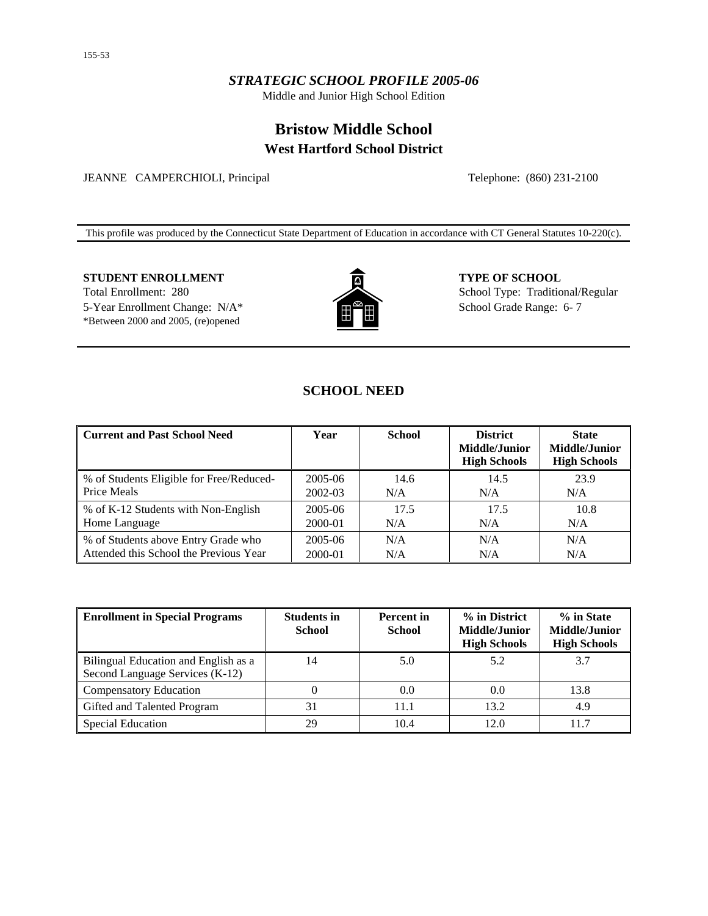# *STRATEGIC SCHOOL PROFILE 2005-06*

Middle and Junior High School Edition

# **Bristow Middle School West Hartford School District**

JEANNE CAMPERCHIOLI, Principal Telephone: (860) 231-2100

This profile was produced by the Connecticut State Department of Education in accordance with CT General Statutes 10-220(c).

**STUDENT ENROLLMENT 6 CHOOL CONSUMERT 3 CHOOL CONSUMERT AND TYPE OF SCHOOL** 

Total Enrollment: 280 5-Year Enrollment Change: N/A\* \*Between 2000 and 2005, (re)opened



School Type: Traditional/Regular School Grade Range: 6- 7

# **SCHOOL NEED**

| Current and Past School Need               | Year    | <b>School</b> | <b>District</b><br>Middle/Junior<br><b>High Schools</b> | <b>State</b><br><b>Middle/Junior</b><br><b>High Schools</b> |
|--------------------------------------------|---------|---------------|---------------------------------------------------------|-------------------------------------------------------------|
| ∥ % of Students Eligible for Free/Reduced- | 2005-06 | 14.6          | 14.5                                                    | 23.9                                                        |
| <b>Price Meals</b>                         | 2002-03 | N/A           | N/A                                                     | N/A                                                         |
| ■ % of K-12 Students with Non-English      | 2005-06 | 17.5          | 17.5                                                    | 10.8                                                        |
| Home Language                              | 2000-01 | N/A           | N/A                                                     | N/A                                                         |
| ■ % of Students above Entry Grade who      | 2005-06 | N/A           | N/A                                                     | N/A                                                         |
| Attended this School the Previous Year     | 2000-01 | N/A           | N/A                                                     | N/A                                                         |

| <b>Enrollment in Special Programs</b>                                   | <b>Students in</b><br><b>School</b> | <b>Percent</b> in<br><b>School</b> | % in District<br><b>Middle/Junior</b><br><b>High Schools</b> | % in State<br>Middle/Junior<br><b>High Schools</b> |
|-------------------------------------------------------------------------|-------------------------------------|------------------------------------|--------------------------------------------------------------|----------------------------------------------------|
| Bilingual Education and English as a<br>Second Language Services (K-12) | 14                                  | 5.0                                | 5.2                                                          | 3.7                                                |
| <b>Compensatory Education</b>                                           |                                     | 0.0                                | 0.0                                                          | 13.8                                               |
| Gifted and Talented Program                                             | 31                                  | 11.1                               | 13.2                                                         | 4.9                                                |
| Special Education                                                       | 29                                  | 10.4                               | 12.0                                                         | 11.7                                               |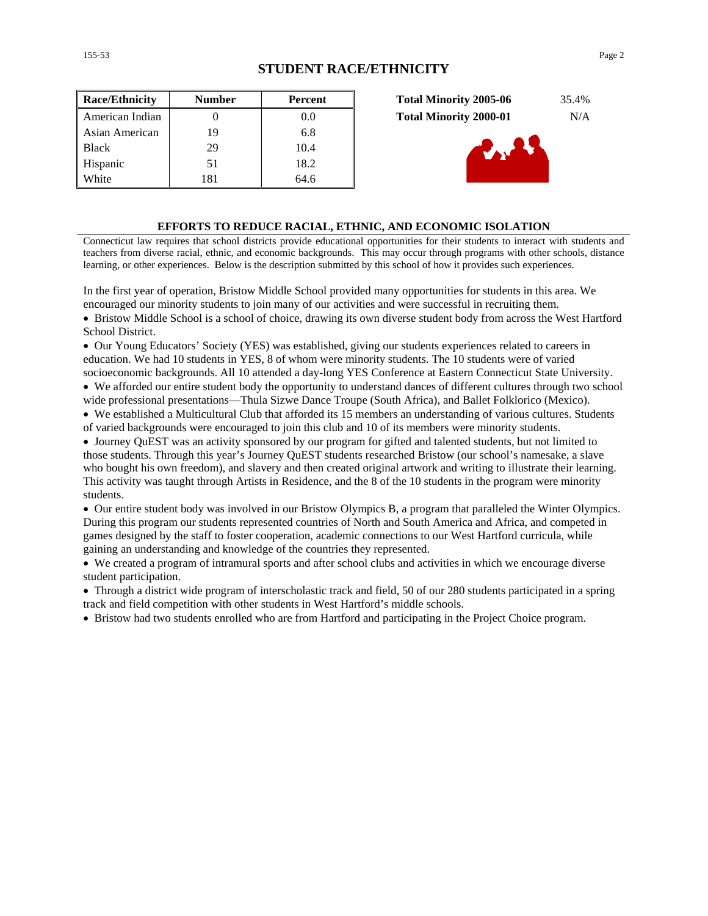| <b>Race/Ethnicity</b> | <b>Number</b> | Percent |
|-----------------------|---------------|---------|
| American Indian       |               | 0.0     |
| Asian American        | 19            | 6.8     |
| <b>Black</b>          | 29            | 10.4    |
| Hispanic              | 51            | 18.2    |
| White                 | 181           | 64.6    |





### **EFFORTS TO REDUCE RACIAL, ETHNIC, AND ECONOMIC ISOLATION**

Connecticut law requires that school districts provide educational opportunities for their students to interact with students and teachers from diverse racial, ethnic, and economic backgrounds. This may occur through programs with other schools, distance learning, or other experiences. Below is the description submitted by this school of how it provides such experiences.

In the first year of operation, Bristow Middle School provided many opportunities for students in this area. We encouraged our minority students to join many of our activities and were successful in recruiting them.

• Bristow Middle School is a school of choice, drawing its own diverse student body from across the West Hartford School District.

• Our Young Educators' Society (YES) was established, giving our students experiences related to careers in education. We had 10 students in YES, 8 of whom were minority students. The 10 students were of varied socioeconomic backgrounds. All 10 attended a day-long YES Conference at Eastern Connecticut State University.

• We afforded our entire student body the opportunity to understand dances of different cultures through two school wide professional presentations—Thula Sizwe Dance Troupe (South Africa), and Ballet Folklorico (Mexico).

• We established a Multicultural Club that afforded its 15 members an understanding of various cultures. Students of varied backgrounds were encouraged to join this club and 10 of its members were minority students.

• Journey QuEST was an activity sponsored by our program for gifted and talented students, but not limited to those students. Through this year's Journey QuEST students researched Bristow (our school's namesake, a slave who bought his own freedom), and slavery and then created original artwork and writing to illustrate their learning. This activity was taught through Artists in Residence, and the 8 of the 10 students in the program were minority students.

• Our entire student body was involved in our Bristow Olympics B, a program that paralleled the Winter Olympics. During this program our students represented countries of North and South America and Africa, and competed in games designed by the staff to foster cooperation, academic connections to our West Hartford curricula, while gaining an understanding and knowledge of the countries they represented.

• We created a program of intramural sports and after school clubs and activities in which we encourage diverse student participation.

• Through a district wide program of interscholastic track and field, 50 of our 280 students participated in a spring track and field competition with other students in West Hartford's middle schools.

• Bristow had two students enrolled who are from Hartford and participating in the Project Choice program.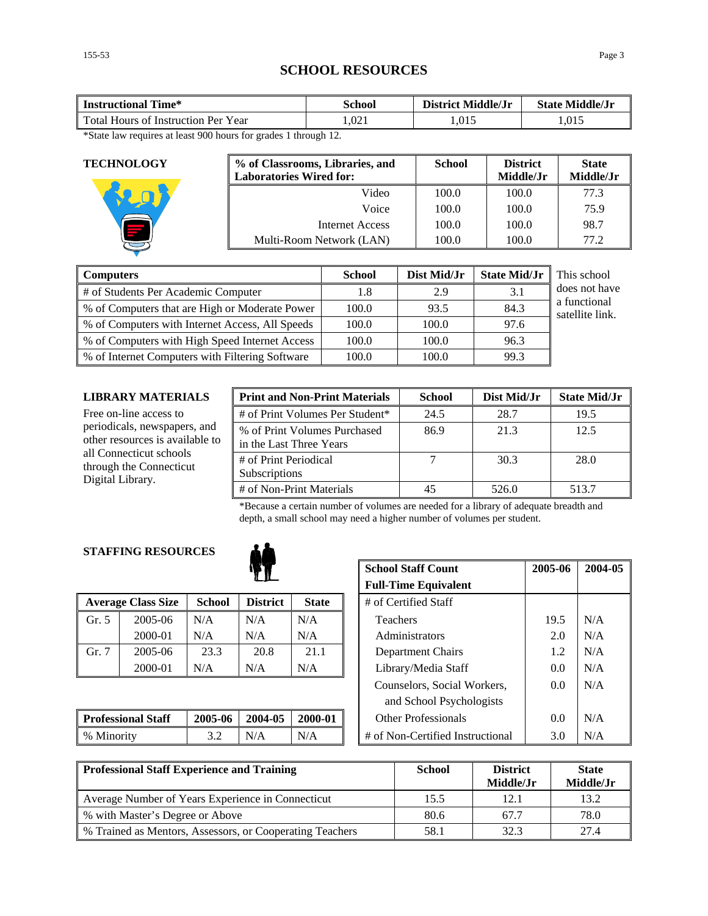| Instructional Time*                 | School | District Middle/Jr | <b>State Middle/Jr</b> |
|-------------------------------------|--------|--------------------|------------------------|
| Total Hours of Instruction Per Year | 1.021  | 1.015              | 1.015                  |

\*State law requires at least 900 hours for grades 1 through 12.

| <b>TECHNOLOGY</b> | % of Classrooms, Libraries, and<br><b>Laboratories Wired for:</b> | <b>School</b> | <b>District</b><br>Middle/Jr | <b>State</b><br>Middle/Jr |
|-------------------|-------------------------------------------------------------------|---------------|------------------------------|---------------------------|
|                   | Video                                                             | 100.0         | 100.0                        | 77.3                      |
|                   | Voice                                                             | 100.0         | 100.0                        | 75.9                      |
|                   | Internet Access                                                   | 100.0         | 100.0                        | 98.7                      |
|                   | Multi-Room Network (LAN)                                          | 100.0         | 100.0                        | 77.2                      |

| <b>Computers</b>                                | <b>School</b> | Dist Mid/Jr | <b>State Mid/Jr</b> | This school                     |
|-------------------------------------------------|---------------|-------------|---------------------|---------------------------------|
| # of Students Per Academic Computer             | 1.8           | 2.9         | 3.1                 | does not have                   |
| % of Computers that are High or Moderate Power  | 100.0         | 93.5        | 84.3                | a functional<br>satellite link. |
| % of Computers with Internet Access, All Speeds | 100.0         | 100.0       | 97.6                |                                 |
| % of Computers with High Speed Internet Access  | 100.0         | 100.0       | 96.3                |                                 |
| % of Internet Computers with Filtering Software | 100.0         | 100.0       | 99.3                |                                 |

### **LIBRARY MATERIALS**

| LIBRARY MATERIALS                                                      | <b>Print and Non-Print Materials</b>                    | <b>School</b> | Dist Mid/Jr | <b>State Mid/Jr</b> |
|------------------------------------------------------------------------|---------------------------------------------------------|---------------|-------------|---------------------|
| Free on-line access to                                                 | # of Print Volumes Per Student*                         | 24.5          | 28.7        | 19.5                |
| periodicals, newspapers, and<br>other resources is available to        | % of Print Volumes Purchased<br>in the Last Three Years | 86.9          | 21.3        | 12.5                |
| all Connecticut schools<br>through the Connecticut<br>Digital Library. | # of Print Periodical<br>Subscriptions                  |               | 30.3        | 28.0                |
|                                                                        | # of Non-Print Materials                                | 45            | 526.0       | 513.7               |

\*Because a certain number of volumes are needed for a library of adequate breadth and depth, a small school may need a higher number of volumes per student.

### **STAFFING RESOURCES**



|       | <b>Average Class Size</b> | <b>School</b> | <b>District</b> | <b>State</b> | # of Certified Staff |      |     |
|-------|---------------------------|---------------|-----------------|--------------|----------------------|------|-----|
| Gr. 5 | 2005-06                   | N/A           | N/A             | N/A          | Teachers             | 19.5 | N/A |
|       | 2000-01                   | $\rm N/A$     | N/A             | N/A          | Administrators       | 2.0  | N/A |
| Gr. 7 | 2005-06                   | 23.3          | 20.8            | 21.1         | Department Chairs    |      | N/A |
|       | 2000-01                   | N/A           | N/A             | N/A          | Library/Media Staff  | 0.0  | N/A |

|                           |         |         |         | and SCHOOL PSYCHOLOGISTS         |     |
|---------------------------|---------|---------|---------|----------------------------------|-----|
| <b>Professional Staff</b> | 2005-06 | 2004-05 | 2000-01 | <b>Other Professionals</b>       | N/A |
| % Minority                |         |         | N/A     | # of Non-Certified Instructional | N/A |

|                   |               | <b>School Staff Count</b> | 2005-06                     | 2004-05 |                                  |      |     |
|-------------------|---------------|---------------------------|-----------------------------|---------|----------------------------------|------|-----|
|                   |               |                           | <b>Full-Time Equivalent</b> |         |                                  |      |     |
| <b>Ilass Size</b> | <b>School</b> | <b>District</b>           | <b>State</b>                |         | # of Certified Staff             |      |     |
| 2005-06           | N/A           | N/A                       | N/A                         |         | <b>Teachers</b>                  | 19.5 | N/A |
| 2000-01           | N/A           | N/A                       | N/A                         |         | Administrators                   | 2.0  | N/A |
| 2005-06           | 23.3          | 20.8                      | 21.1                        |         | Department Chairs                | 1.2  | N/A |
| 2000-01           | N/A           | N/A                       | N/A                         |         | Library/Media Staff              | 0.0  | N/A |
|                   |               |                           |                             |         | Counselors, Social Workers,      | 0.0  | N/A |
|                   |               |                           |                             |         | and School Psychologists         |      |     |
| al Staff          | 2005-06       | 2004-05                   | 2000-01                     |         | <b>Other Professionals</b>       | 0.0  | N/A |
|                   | 3.2           | N/A                       | N/A                         |         | # of Non-Certified Instructional | 3.0  | N/A |

| Professional Staff Experience and Training               | <b>School</b> | <b>District</b><br>Middle/Jr | <b>State</b><br>Middle/Jr |
|----------------------------------------------------------|---------------|------------------------------|---------------------------|
| Average Number of Years Experience in Connecticut        | 15.5          | 12.1                         | 13.2                      |
| % with Master's Degree or Above                          | 80.6          | 67.7                         | 78.0                      |
| % Trained as Mentors, Assessors, or Cooperating Teachers | 58.1          | 32.3                         | 27.4                      |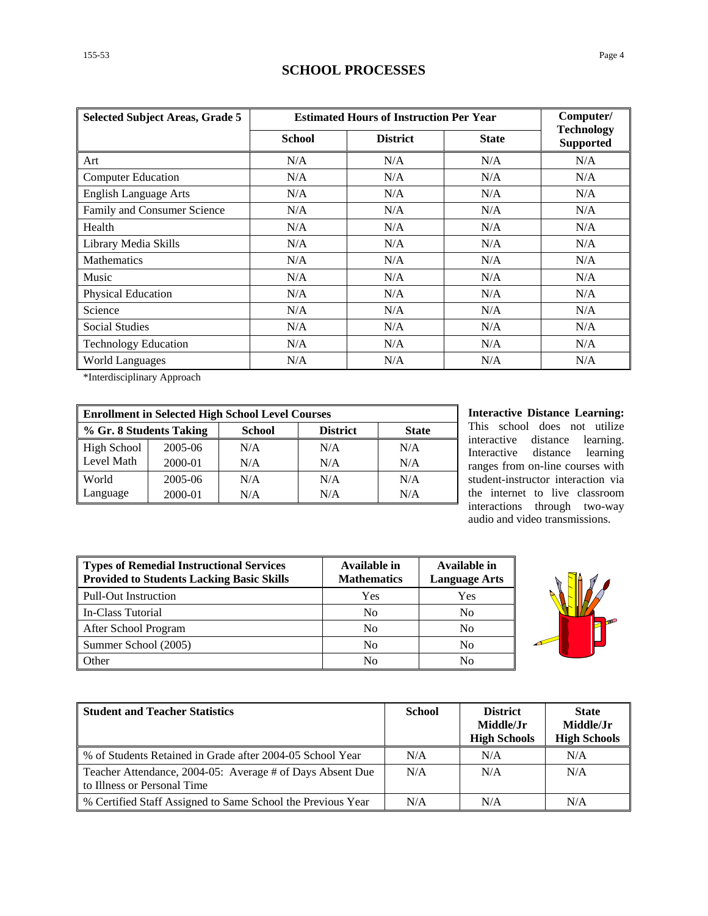### **SCHOOL PROCESSES**

| <b>Selected Subject Areas, Grade 5</b> | <b>Estimated Hours of Instruction Per Year</b> | Computer/       |              |                                       |
|----------------------------------------|------------------------------------------------|-----------------|--------------|---------------------------------------|
|                                        | <b>School</b>                                  | <b>District</b> | <b>State</b> | <b>Technology</b><br><b>Supported</b> |
| Art                                    | N/A                                            | N/A             | N/A          | N/A                                   |
| <b>Computer Education</b>              | N/A                                            | N/A             | N/A          | N/A                                   |
| <b>English Language Arts</b>           | N/A                                            | N/A             | N/A          | N/A                                   |
| Family and Consumer Science            | N/A                                            | N/A             | N/A          | N/A                                   |
| Health                                 | N/A                                            | N/A             | N/A          | N/A                                   |
| Library Media Skills                   | N/A                                            | N/A             | N/A          | N/A                                   |
| <b>Mathematics</b>                     | N/A                                            | N/A             | N/A          | N/A                                   |
| Music                                  | N/A                                            | N/A             | N/A          | N/A                                   |
| Physical Education                     | N/A                                            | N/A             | N/A          | N/A                                   |
| Science                                | N/A                                            | N/A             | N/A          | N/A                                   |
| <b>Social Studies</b>                  | N/A                                            | N/A             | N/A          | N/A                                   |
| <b>Technology Education</b>            | N/A                                            | N/A             | N/A          | N/A                                   |
| <b>World Languages</b>                 | N/A                                            | N/A             | N/A          | N/A                                   |

\*Interdisciplinary Approach

| <b>Enrollment in Selected High School Level Courses</b> |         |               |                 |              |  |
|---------------------------------------------------------|---------|---------------|-----------------|--------------|--|
| % Gr. 8 Students Taking                                 |         | <b>School</b> | <b>District</b> | <b>State</b> |  |
| High School                                             | 2005-06 | N/A           | N/A             | N/A          |  |
| Level Math                                              | 2000-01 | N/A           | N/A             | N/A          |  |
| World                                                   | 2005-06 | N/A           | N/A             | N/A          |  |
| Language                                                | 2000-01 | N/A           | N/A             | N/A          |  |

**Interactive Distance Learning:** This school does not utilize interactive distance learning. Interactive distance learning ranges from on-line courses with student-instructor interaction via the internet to live classroom interactions through two-way audio and video transmissions.

| <b>Types of Remedial Instructional Services</b><br><b>Provided to Students Lacking Basic Skills</b> | <b>Available in</b><br><b>Mathematics</b> | Available in<br><b>Language Arts</b> |
|-----------------------------------------------------------------------------------------------------|-------------------------------------------|--------------------------------------|
| <b>Pull-Out Instruction</b>                                                                         | Yes                                       | Yes                                  |
| In-Class Tutorial                                                                                   | No                                        | No                                   |
| After School Program                                                                                | N <sub>0</sub>                            | No                                   |
| Summer School (2005)                                                                                | No                                        | No                                   |
| Other                                                                                               | No                                        | No                                   |



| <b>Student and Teacher Statistics</b>                                                    | <b>School</b> | <b>District</b><br>Middle/Jr<br><b>High Schools</b> | <b>State</b><br>Middle/Jr<br><b>High Schools</b> |
|------------------------------------------------------------------------------------------|---------------|-----------------------------------------------------|--------------------------------------------------|
| % of Students Retained in Grade after 2004-05 School Year                                | N/A           | N/A                                                 | N/A                                              |
| Teacher Attendance, 2004-05: Average # of Days Absent Due<br>to Illness or Personal Time | N/A           | N/A                                                 | N/A                                              |
| % Certified Staff Assigned to Same School the Previous Year                              | N/A           | N/A                                                 | N/A                                              |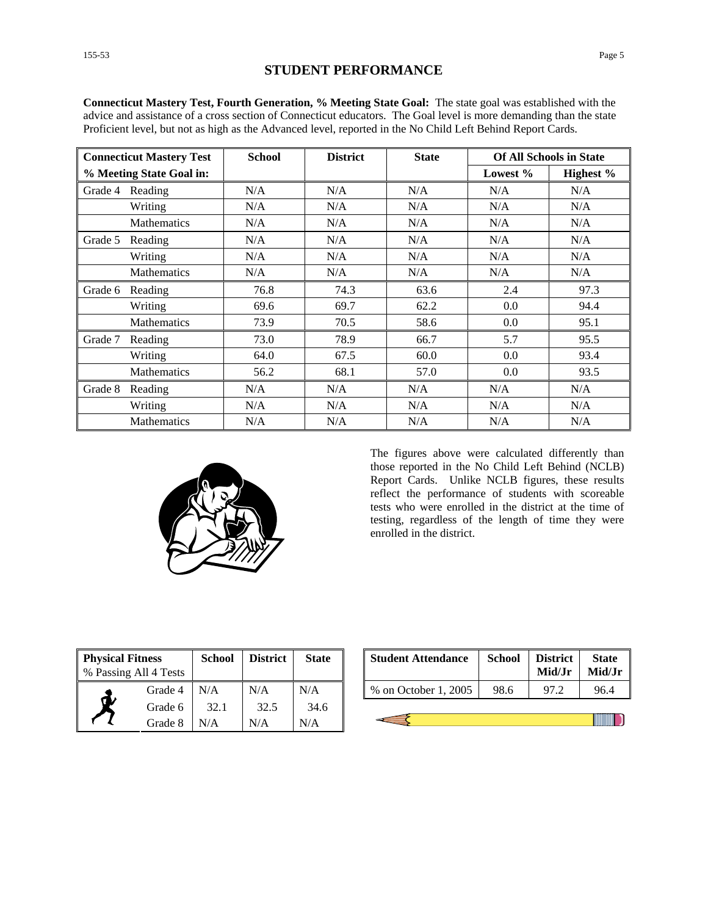| <b>Connecticut Mastery Test</b><br>% Meeting State Goal in: |                    | <b>School</b> | <b>District</b> | <b>State</b> | <b>Of All Schools in State</b> |           |
|-------------------------------------------------------------|--------------------|---------------|-----------------|--------------|--------------------------------|-----------|
|                                                             |                    |               |                 |              | Lowest %                       | Highest % |
| Grade 4                                                     | Reading            | N/A           | N/A             | N/A          | N/A                            | N/A       |
|                                                             | Writing            | N/A           | N/A             | N/A          | N/A                            | N/A       |
|                                                             | <b>Mathematics</b> | N/A           | N/A             | N/A          | N/A                            | N/A       |
| Grade 5                                                     | Reading            | N/A           | N/A             | N/A          | N/A                            | N/A       |
|                                                             | Writing            | N/A           | N/A             | N/A          | N/A                            | N/A       |
|                                                             | Mathematics        | N/A           | N/A             | N/A          | N/A                            | N/A       |
| Grade 6                                                     | Reading            | 76.8          | 74.3            | 63.6         | 2.4                            | 97.3      |
|                                                             | Writing            | 69.6          | 69.7            | 62.2         | 0.0                            | 94.4      |
|                                                             | <b>Mathematics</b> | 73.9          | 70.5            | 58.6         | 0.0                            | 95.1      |
| Grade 7                                                     | Reading            | 73.0          | 78.9            | 66.7         | 5.7                            | 95.5      |
|                                                             | Writing            | 64.0          | 67.5            | 60.0         | 0.0                            | 93.4      |
|                                                             | <b>Mathematics</b> | 56.2          | 68.1            | 57.0         | 0.0                            | 93.5      |
| Grade 8                                                     | Reading            | N/A           | N/A             | N/A          | N/A                            | N/A       |
|                                                             | Writing            | N/A           | N/A             | N/A          | N/A                            | N/A       |
|                                                             | <b>Mathematics</b> | N/A           | N/A             | N/A          | N/A                            | N/A       |

**Connecticut Mastery Test, Fourth Generation, % Meeting State Goal:** The state goal was established with the advice and assistance of a cross section of Connecticut educators. The Goal level is more demanding than the state Proficient level, but not as high as the Advanced level, reported in the No Child Left Behind Report Cards.



The figures above were calculated differently than those reported in the No Child Left Behind (NCLB) Report Cards. Unlike NCLB figures, these results reflect the performance of students with scoreable tests who were enrolled in the district at the time of testing, regardless of the length of time they were enrolled in the district.

| <b>Physical Fitness</b> |         | <b>School</b> | <b>District</b> | <b>State</b> |
|-------------------------|---------|---------------|-----------------|--------------|
| % Passing All 4 Tests   |         |               |                 |              |
|                         | Grade 4 | N/A           | N/A             | N/A          |
|                         | Grade 6 | 32.1          | 32.5            | 34.6         |
|                         | Grade 8 | N/A           | N/A             | N/A          |

| ess<br>l 4 Tests | <b>School</b>        | <b>District</b> | State         | <b>Student Attendance</b> | <b>School</b> | <b>District</b><br>Mid/Jr | <b>State</b><br>Mid/Jr |
|------------------|----------------------|-----------------|---------------|---------------------------|---------------|---------------------------|------------------------|
| Grade 4          | N/A                  | N/A             | N/A           | % on October 1, 2005      | 98.6          |                           | 96.4                   |
| $\sim$ $\sim$    | $\sim$ $\sim$ $\sim$ | $\sim$ $\sim$   | $\sim$ $\sim$ |                           |               |                           |                        |

III III )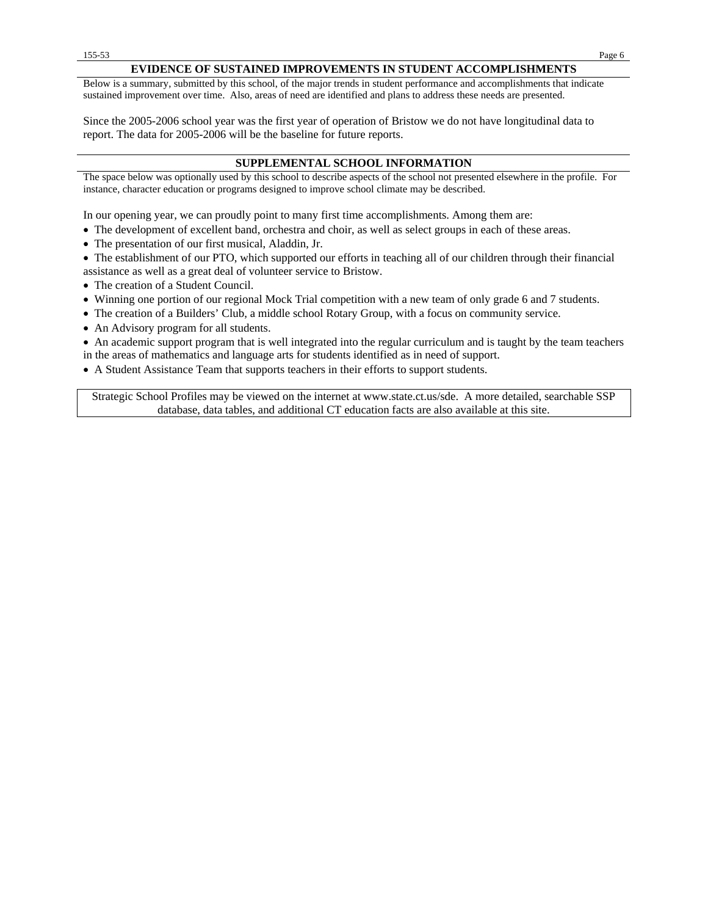#### **EVIDENCE OF SUSTAINED IMPROVEMENTS IN STUDENT ACCOMPLISHMENTS**

Below is a summary, submitted by this school, of the major trends in student performance and accomplishments that indicate sustained improvement over time. Also, areas of need are identified and plans to address these needs are presented.

Since the 2005-2006 school year was the first year of operation of Bristow we do not have longitudinal data to report. The data for 2005-2006 will be the baseline for future reports.

#### **SUPPLEMENTAL SCHOOL INFORMATION**

The space below was optionally used by this school to describe aspects of the school not presented elsewhere in the profile. For instance, character education or programs designed to improve school climate may be described.

In our opening year, we can proudly point to many first time accomplishments. Among them are:

- The development of excellent band, orchestra and choir, as well as select groups in each of these areas.
- The presentation of our first musical, Aladdin, Jr.
- The establishment of our PTO, which supported our efforts in teaching all of our children through their financial assistance as well as a great deal of volunteer service to Bristow.
- The creation of a Student Council.
- Winning one portion of our regional Mock Trial competition with a new team of only grade 6 and 7 students.
- The creation of a Builders' Club, a middle school Rotary Group, with a focus on community service.
- An Advisory program for all students.

• An academic support program that is well integrated into the regular curriculum and is taught by the team teachers in the areas of mathematics and language arts for students identified as in need of support.

• A Student Assistance Team that supports teachers in their efforts to support students.

Strategic School Profiles may be viewed on the internet at www.state.ct.us/sde. A more detailed, searchable SSP database, data tables, and additional CT education facts are also available at this site.